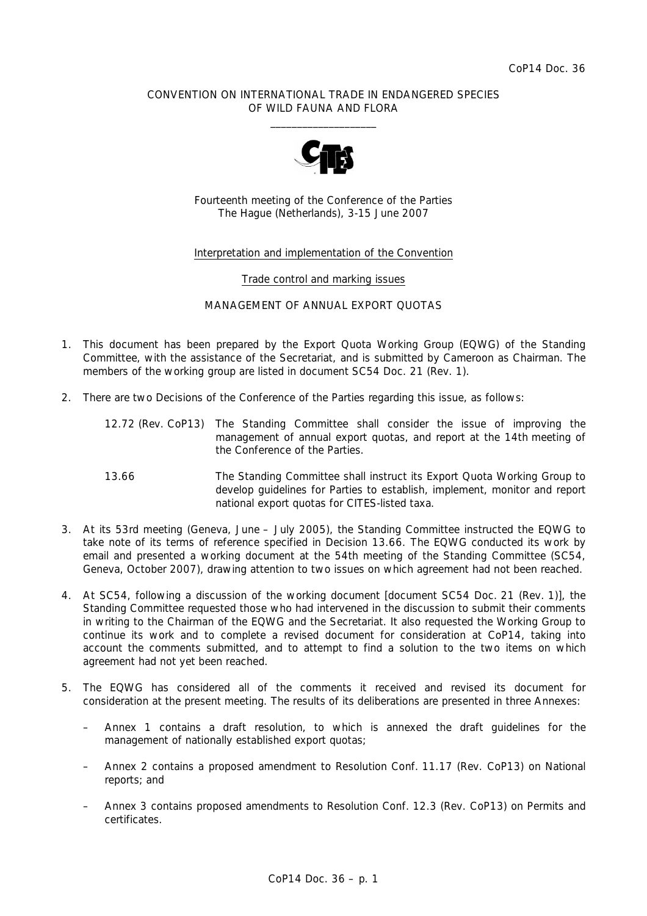## CONVENTION ON INTERNATIONAL TRADE IN ENDANGERED SPECIES OF WILD FAUNA AND FLORA  $\overline{\phantom{a}}$  , and the set of the set of the set of the set of the set of the set of the set of the set of the set of the set of the set of the set of the set of the set of the set of the set of the set of the set of the s



Fourteenth meeting of the Conference of the Parties The Hague (Netherlands), 3-15 June 2007

## Interpretation and implementation of the Convention

### Trade control and marking issues

## MANAGEMENT OF ANNUAL EXPORT QUOTAS

- 1. This document has been prepared by the Export Quota Working Group (EQWG) of the Standing Committee, with the assistance of the Secretariat, and is submitted by Cameroon as Chairman. The members of the working group are listed in document SC54 Doc. 21 (Rev. 1).
- 2. There are two Decisions of the Conference of the Parties regarding this issue, as follows:

| 12.72 (Rev. CoP13) The Standing Committee shall consider the issue of improving the |
|-------------------------------------------------------------------------------------|
| management of annual export quotas, and report at the 14th meeting of               |
| the Conference of the Parties.                                                      |

- *13.66 The Standing Committee shall instruct its Export Quota Working Group to develop guidelines for Parties to establish, implement, monitor and report national export quotas for CITES-listed taxa.*
- 3. At its 53rd meeting (Geneva, June July 2005), the Standing Committee instructed the EQWG to take note of its terms of reference specified in Decision 13.66. The EQWG conducted its work by email and presented a working document at the 54th meeting of the Standing Committee (SC54, Geneva, October 2007), drawing attention to two issues on which agreement had not been reached.
- 4. At SC54, following a discussion of the working document [document SC54 Doc. 21 (Rev. 1)], the Standing Committee requested those who had intervened in the discussion to submit their comments in writing to the Chairman of the EQWG and the Secretariat. It also requested the Working Group to continue its work and to complete a revised document for consideration at CoP14, taking into account the comments submitted, and to attempt to find a solution to the two items on which agreement had not yet been reached.
- 5. The EQWG has considered all of the comments it received and revised its document for consideration at the present meeting. The results of its deliberations are presented in three Annexes:
	- Annex 1 contains a draft resolution, to which is annexed the draft guidelines for the management of nationally established export quotas;
	- Annex 2 contains a proposed amendment to Resolution Conf. 11.17 (Rev. CoP13) on National reports; and
	- Annex 3 contains proposed amendments to Resolution Conf. 12.3 (Rev. CoP13) on Permits and certificates.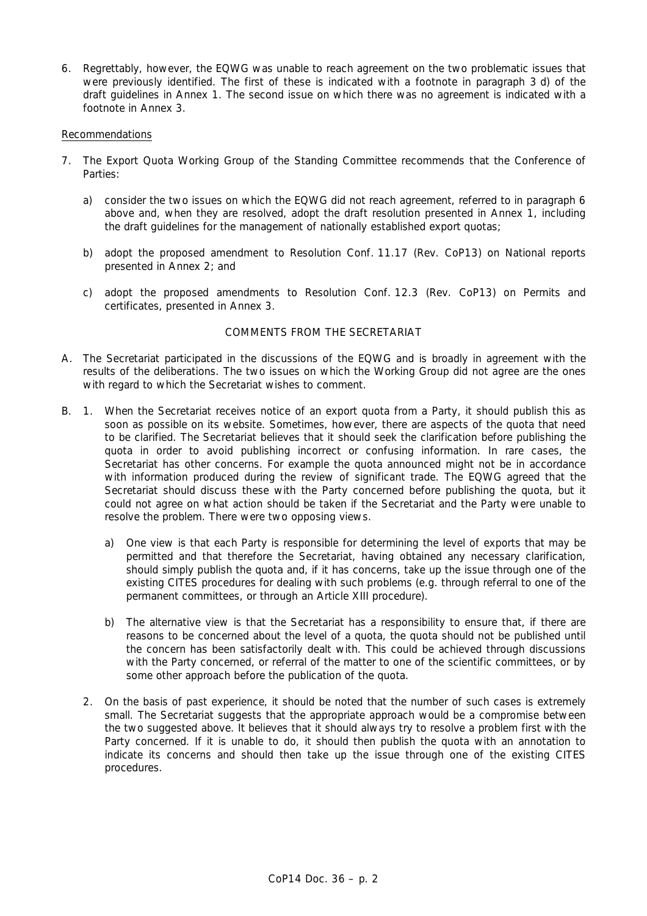6. Regrettably, however, the EQWG was unable to reach agreement on the two problematic issues that were previously identified. The first of these is indicated with a footnote in paragraph 3 d) of the draft guidelines in Annex 1. The second issue on which there was no agreement is indicated with a footnote in Annex 3.

### Recommendations

- 7. The Export Quota Working Group of the Standing Committee recommends that the Conference of Parties:
	- a) consider the two issues on which the EQWG did not reach agreement, referred to in paragraph 6 above and, when they are resolved, adopt the draft resolution presented in Annex 1, including the draft guidelines for the management of nationally established export quotas;
	- b) adopt the proposed amendment to Resolution Conf. 11.17 (Rev. CoP13) on National reports presented in Annex 2; and
	- c) adopt the proposed amendments to Resolution Conf. 12.3 (Rev. CoP13) on Permits and certificates, presented in Annex 3.

# COMMENTS FROM THE SECRETARIAT

- A. The Secretariat participated in the discussions of the EQWG and is broadly in agreement with the results of the deliberations. The two issues on which the Working Group did not agree are the ones with regard to which the Secretariat wishes to comment.
- B. 1. When the Secretariat receives notice of an export quota from a Party, it should publish this as soon as possible on its website. Sometimes, however, there are aspects of the quota that need to be clarified. The Secretariat believes that it should seek the clarification before publishing the quota in order to avoid publishing incorrect or confusing information. In rare cases, the Secretariat has other concerns. For example the quota announced might not be in accordance with information produced during the review of significant trade. The EQWG agreed that the Secretariat should discuss these with the Party concerned before publishing the quota, but it could not agree on what action should be taken if the Secretariat and the Party were unable to resolve the problem. There were two opposing views.
	- a) One view is that each Party is responsible for determining the level of exports that may be permitted and that therefore the Secretariat, having obtained any necessary clarification, should simply publish the quota and, if it has concerns, take up the issue through one of the existing CITES procedures for dealing with such problems (e.g. through referral to one of the permanent committees, or through an Article XIII procedure).
	- b) The alternative view is that the Secretariat has a responsibility to ensure that, if there are reasons to be concerned about the level of a quota, the quota should not be published until the concern has been satisfactorily dealt with. This could be achieved through discussions with the Party concerned, or referral of the matter to one of the scientific committees, or by some other approach before the publication of the quota.
	- 2. On the basis of past experience, it should be noted that the number of such cases is extremely small. The Secretariat suggests that the appropriate approach would be a compromise between the two suggested above. It believes that it should always try to resolve a problem first with the Party concerned. If it is unable to do, it should then publish the quota with an annotation to indicate its concerns and should then take up the issue through one of the existing CITES procedures.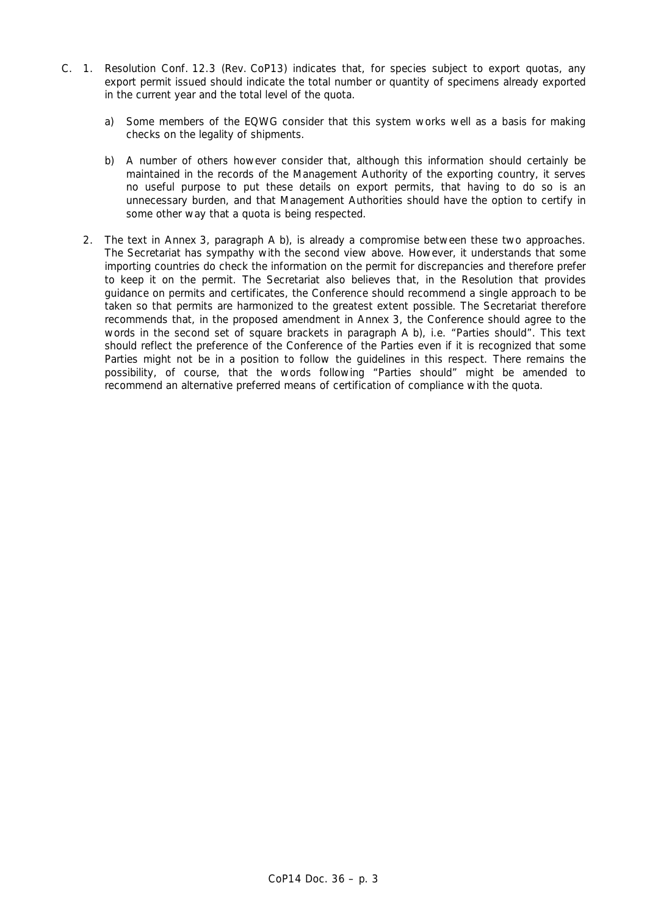- C. 1. Resolution Conf. 12.3 (Rev. CoP13) indicates that, for species subject to export quotas, any export permit issued should indicate the total number or quantity of specimens already exported in the current year and the total level of the quota.
	- a) Some members of the EQWG consider that this system works well as a basis for making checks on the legality of shipments.
	- b) A number of others however consider that, although this information should certainly be maintained in the records of the Management Authority of the exporting country, it serves no useful purpose to put these details on export permits, that having to do so is an unnecessary burden, and that Management Authorities should have the option to certify in some other way that a quota is being respected.
	- 2. The text in Annex 3, paragraph A b), is already a compromise between these two approaches. The Secretariat has sympathy with the second view above. However, it understands that some importing countries do check the information on the permit for discrepancies and therefore prefer to keep it on the permit. The Secretariat also believes that, in the Resolution that provides guidance on permits and certificates, the Conference should recommend a single approach to be taken so that permits are harmonized to the greatest extent possible. The Secretariat therefore recommends that, in the proposed amendment in Annex 3, the Conference should agree to the words in the second set of square brackets in paragraph A b), i.e. "Parties should". This text should reflect the preference of the Conference of the Parties even if it is recognized that some Parties might not be in a position to follow the guidelines in this respect. There remains the possibility, of course, that the words following "Parties should" might be amended to recommend an alternative preferred means of certification of compliance with the quota.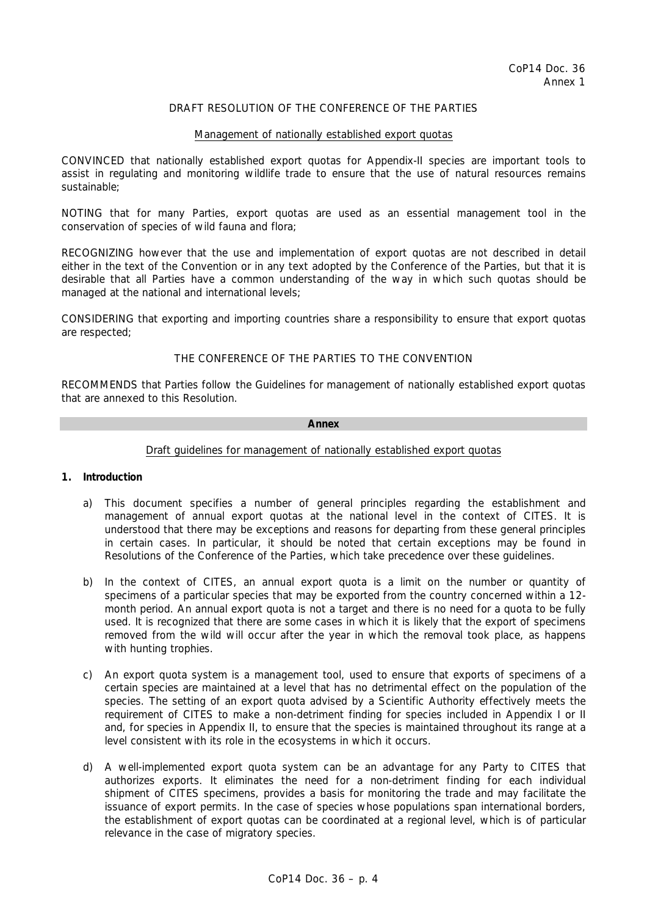## DRAFT RESOLUTION OF THE CONFERENCE OF THE PARTIES

### Management of nationally established export quotas

CONVINCED that nationally established export quotas for Appendix-II species are important tools to assist in regulating and monitoring wildlife trade to ensure that the use of natural resources remains sustainable;

NOTING that for many Parties, export quotas are used as an essential management tool in the conservation of species of wild fauna and flora;

RECOGNIZING however that the use and implementation of export quotas are not described in detail either in the text of the Convention or in any text adopted by the Conference of the Parties, but that it is desirable that all Parties have a common understanding of the way in which such quotas should be managed at the national and international levels;

CONSIDERING that exporting and importing countries share a responsibility to ensure that export quotas are respected;

## THE CONFERENCE OF THE PARTIES TO THE CONVENTION

RECOMMENDS that Parties follow the *Guidelines for management of nationally established export quotas* that are annexed to this Resolution.

#### **Annex**

## Draft guidelines for management of nationally established export quotas

### **1. Introduction**

- a) This document specifies a number of general principles regarding the establishment and management of annual export quotas at the national level in the context of CITES. It is understood that there may be exceptions and reasons for departing from these general principles in certain cases. In particular, it should be noted that certain exceptions may be found in Resolutions of the Conference of the Parties, which take precedence over these guidelines.
- b) In the context of CITES, an annual export quota is a limit on the number or quantity of specimens of a particular species that may be exported from the country concerned within a 12 month period. An annual export quota is not a target and there is no need for a quota to be fully used. It is recognized that there are some cases in which it is likely that the export of specimens removed from the wild will occur after the year in which the removal took place, as happens with hunting trophies.
- c) An export quota system is a management tool, used to ensure that exports of specimens of a certain species are maintained at a level that has no detrimental effect on the population of the species. The setting of an export quota advised by a Scientific Authority effectively meets the requirement of CITES to make a non-detriment finding for species included in Appendix I or II and, for species in Appendix II, to ensure that the species is maintained throughout its range at a level consistent with its role in the ecosystems in which it occurs.
- d) A well-implemented export quota system can be an advantage for any Party to CITES that authorizes exports. It eliminates the need for a non-detriment finding for each individual shipment of CITES specimens, provides a basis for monitoring the trade and may facilitate the issuance of export permits. In the case of species whose populations span international borders, the establishment of export quotas can be coordinated at a regional level, which is of particular relevance in the case of migratory species.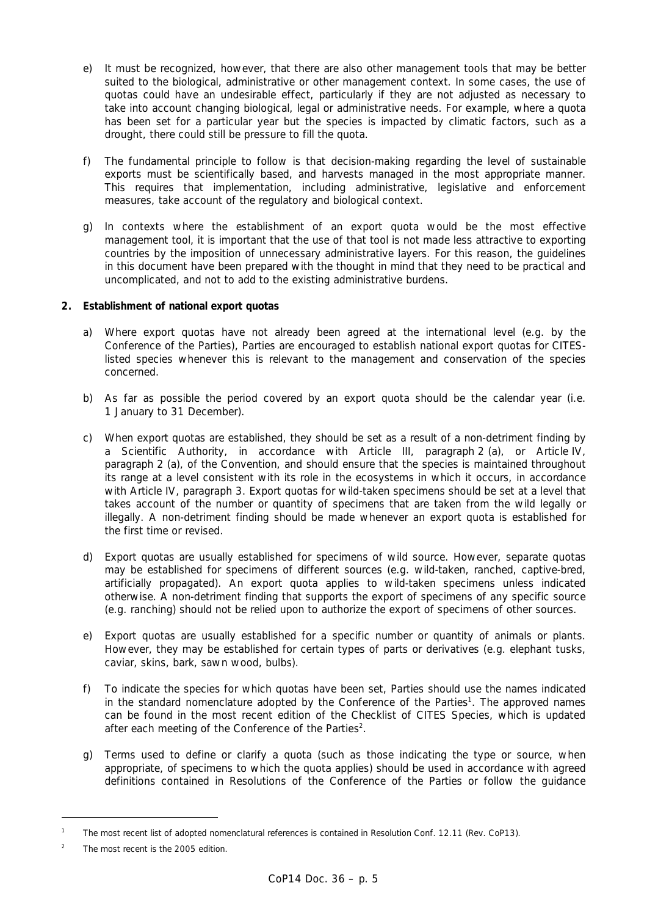- e) It must be recognized, however, that there are also other management tools that may be better suited to the biological, administrative or other management context. In some cases, the use of quotas could have an undesirable effect, particularly if they are not adjusted as necessary to take into account changing biological, legal or administrative needs. For example, where a quota has been set for a particular year but the species is impacted by climatic factors, such as a drought, there could still be pressure to fill the quota.
- f) The fundamental principle to follow is that decision-making regarding the level of sustainable exports must be scientifically based, and harvests managed in the most appropriate manner. This requires that implementation, including administrative, legislative and enforcement measures, take account of the regulatory and biological context.
- g) In contexts where the establishment of an export quota would be the most effective management tool, it is important that the use of that tool is not made less attractive to exporting countries by the imposition of unnecessary administrative layers. For this reason, the guidelines in this document have been prepared with the thought in mind that they need to be practical and uncomplicated, and not to add to the existing administrative burdens.

# **2. Establishment of national export quotas**

- a) Where export quotas have not already been agreed at the international level (e.g. by the Conference of the Parties), Parties are encouraged to establish national export quotas for CITESlisted species whenever this is relevant to the management and conservation of the species concerned.
- b) As far as possible the period covered by an export quota should be the calendar year (i.e. 1 January to 31 December).
- c) When export quotas are established, they should be set as a result of a non-detriment finding by a Scientific Authority, in accordance with Article III, paragraph 2 (a), or Article IV, paragraph 2 (a), of the Convention, and should ensure that the species is maintained throughout its range at a level consistent with its role in the ecosystems in which it occurs, in accordance with Article IV, paragraph 3. Export quotas for wild-taken specimens should be set at a level that takes account of the number or quantity of specimens that are taken from the wild legally or illegally. A non-detriment finding should be made whenever an export quota is established for the first time or revised.
- d) Export quotas are usually established for specimens of wild source. However, separate quotas may be established for specimens of different sources (e.g. wild-taken, ranched, captive-bred, artificially propagated). An export quota applies to wild-taken specimens unless indicated otherwise. A non-detriment finding that supports the export of specimens of any specific source (e.g. ranching) should not be relied upon to authorize the export of specimens of other sources.
- e) Export quotas are usually established for a specific number or quantity of animals or plants. However, they may be established for certain types of parts or derivatives (e.g. elephant tusks, caviar, skins, bark, sawn wood, bulbs).
- f) To indicate the species for which quotas have been set, Parties should use the names indicated in the standard nomenclature adopted by the Conference of the Parties<sup>1</sup>. The approved names can be found in the most recent edition of the *Checklist of CITES Species*, which is updated after each meeting of the Conference of the Parties<sup>2</sup>.
- g) Terms used to define or clarify a quota (such as those indicating the type or source, when appropriate, of specimens to which the quota applies) should be used in accordance with agreed definitions contained in Resolutions of the Conference of the Parties or follow the guidance

l

*<sup>1</sup> The most recent list of adopted nomenclatural references is contained in Resolution Conf. 12.11 (Rev. CoP13).* 

*<sup>2</sup> The most recent is the 2005 edition.*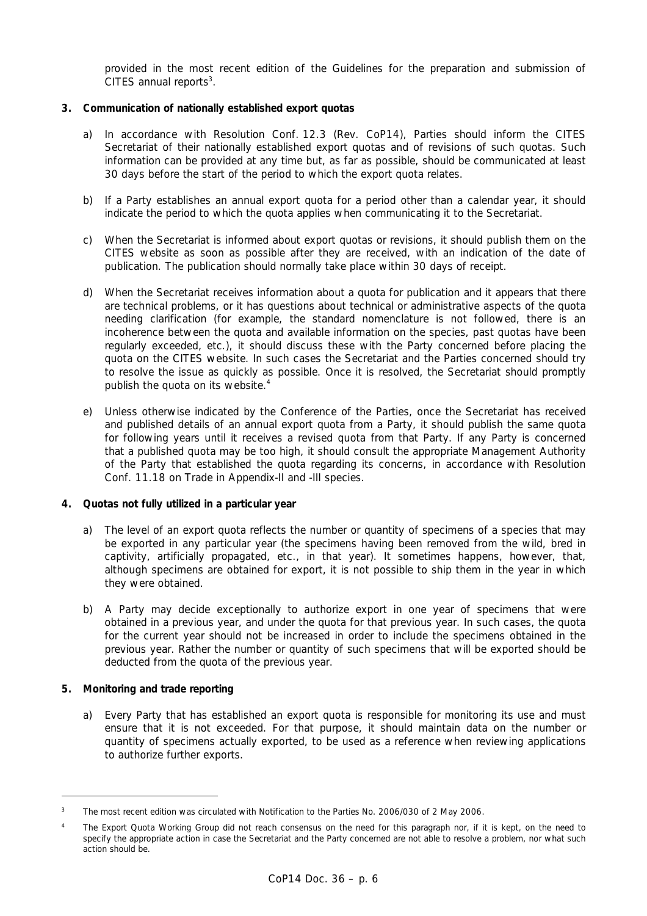provided in the most recent edition of the *Guidelines for the preparation and submission of CITES annual reports3* .

## **3. Communication of nationally established export quotas**

- a) In accordance with Resolution Conf. 12.3 (Rev. CoP14), Parties should inform the CITES Secretariat of their nationally established export quotas and of revisions of such quotas. Such information can be provided at any time but, as far as possible, should be communicated at least 30 days before the start of the period to which the export quota relates.
- b) If a Party establishes an annual export quota for a period other than a calendar year, it should indicate the period to which the quota applies when communicating it to the Secretariat.
- c) When the Secretariat is informed about export quotas or revisions, it should publish them on the CITES website as soon as possible after they are received, with an indication of the date of publication. The publication should normally take place within 30 days of receipt.
- d) When the Secretariat receives information about a quota for publication and it appears that there are technical problems, or it has questions about technical or administrative aspects of the quota needing clarification (for example, the standard nomenclature is not followed, there is an incoherence between the quota and available information on the species, past quotas have been regularly exceeded, etc.), it should discuss these with the Party concerned before placing the quota on the CITES website. In such cases the Secretariat and the Parties concerned should try to resolve the issue as quickly as possible. Once it is resolved, the Secretariat should promptly publish the quota on its website.<sup>4</sup>
- e) Unless otherwise indicated by the Conference of the Parties, once the Secretariat has received and published details of an annual export quota from a Party, it should publish the same quota for following years until it receives a revised quota from that Party. If any Party is concerned that a published quota may be too high, it should consult the appropriate Management Authority of the Party that established the quota regarding its concerns, in accordance with Resolution Conf. 11.18 on Trade in Appendix-II and -III species.

### **4. Quotas not fully utilized in a particular year**

- a) The level of an export quota reflects the number or quantity of specimens of a species that may be exported in any particular year (the specimens having been removed from the wild, bred in captivity, artificially propagated, etc., in that year). It sometimes happens, however, that, although specimens are obtained for export, it is not possible to ship them in the year in which they were obtained.
- b) A Party may decide exceptionally to authorize export in one year of specimens that were obtained in a previous year, and under the quota for that previous year. In such cases, the quota for the current year should not be increased in order to include the specimens obtained in the previous year. Rather the number or quantity of such specimens that will be exported should be deducted from the quota of the previous year.

## **5. Monitoring and trade reporting**

l

 a) Every Party that has established an export quota is responsible for monitoring its use and must ensure that it is not exceeded. For that purpose, it should maintain data on the number or quantity of specimens actually exported, to be used as a reference when reviewing applications to authorize further exports.

*<sup>3</sup> The most recent edition was circulated with Notification to the Parties No. 2006/030 of 2 May 2006.* 

*<sup>4</sup> The Export Quota Working Group did not reach consensus on the need for this paragraph nor, if it is kept, on the need to specify the appropriate action in case the Secretariat and the Party concerned are not able to resolve a problem, nor what such action should be.*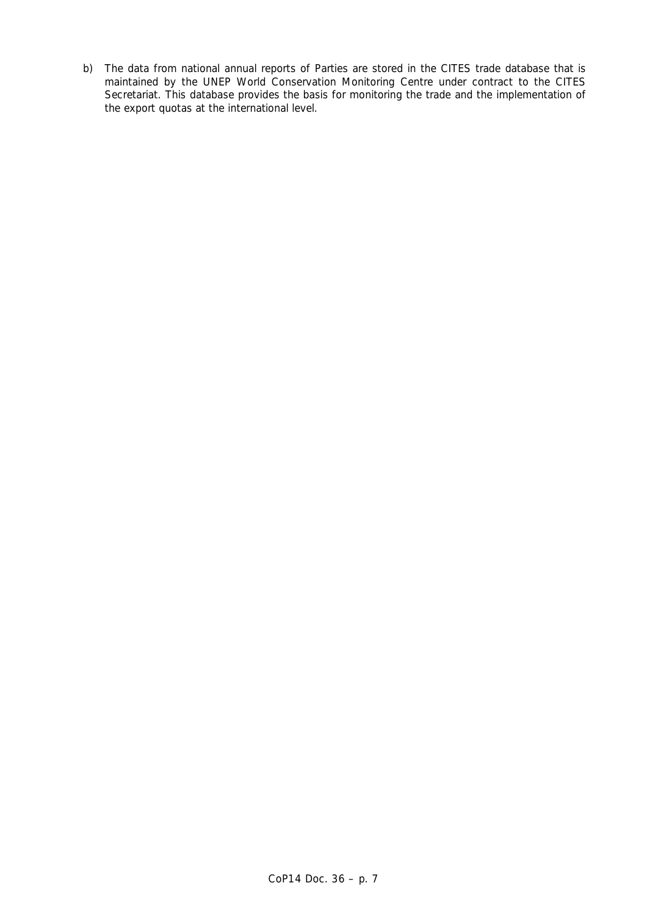b) The data from national annual reports of Parties are stored in the CITES trade database that is maintained by the UNEP World Conservation Monitoring Centre under contract to the CITES Secretariat. This database provides the basis for monitoring the trade and the implementation of the export quotas at the international level.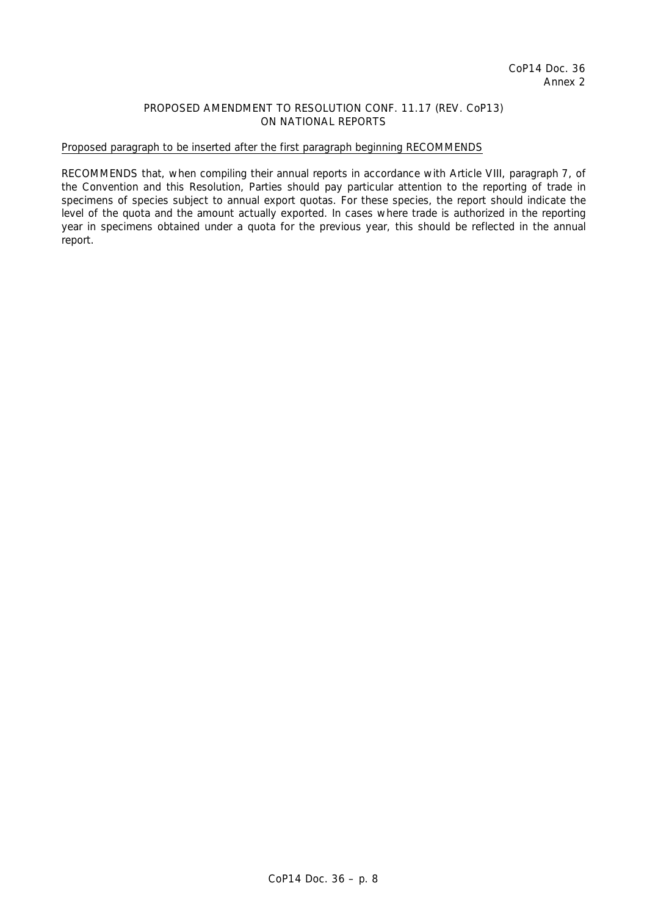## PROPOSED AMENDMENT TO RESOLUTION CONF. 11.17 (REV. CoP13) ON NATIONAL REPORTS

## Proposed paragraph to be inserted after the first paragraph beginning RECOMMENDS

RECOMMENDS that, when compiling their annual reports in accordance with Article VIII, paragraph 7, of the Convention and this Resolution, Parties should pay particular attention to the reporting of trade in specimens of species subject to annual export quotas. For these species, the report should indicate the level of the quota and the amount actually exported. In cases where trade is authorized in the reporting year in specimens obtained under a quota for the previous year, this should be reflected in the annual report.